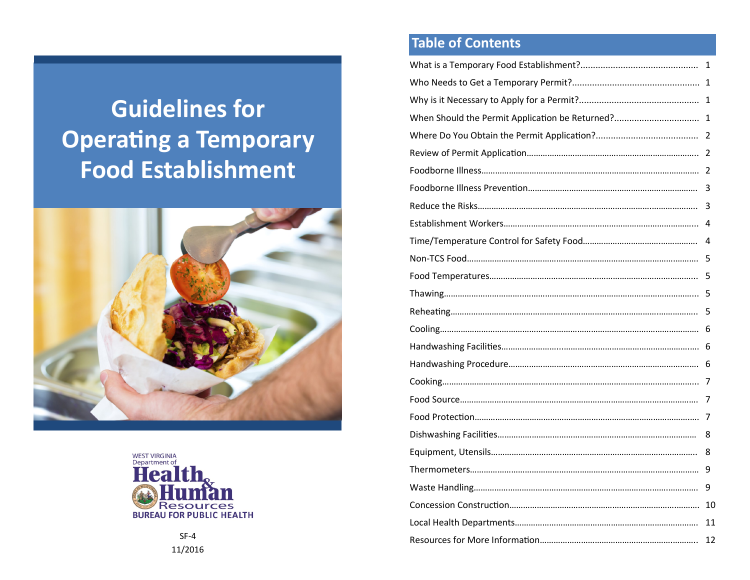# **Guidelines for Operating a Temporary Food Establishment**





**Table of Contents** 

| 3  |
|----|
| 3  |
|    |
|    |
|    |
|    |
|    |
|    |
|    |
|    |
|    |
|    |
|    |
|    |
| 8  |
| 8  |
|    |
|    |
|    |
| 11 |
| 12 |

SF-4 11/2016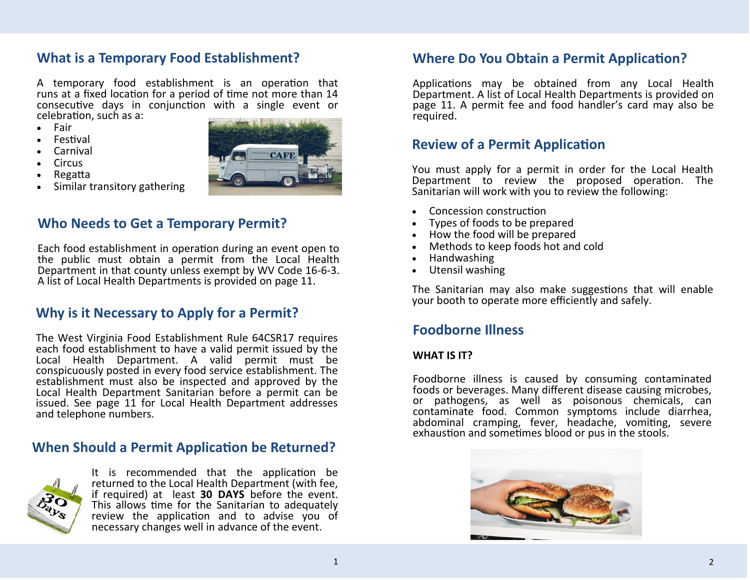### **What is a Temporary Food Establishment?**

A temporary food establishment is an operation that runs at a fixed location for a period of time not more than 14 consecutive days in conjunction with a single event or celebration, such as a:

- Fair
- Festival
- Carnival
- Circus
- Regatta
- Similar transitory gathering

### **Who Needs to Get a Temporary Permit?**

Each food establishment in operation during an event open to the public must obtain a permit from the Local Health Department in that county unless exempt by WV Code 16-6-3. A list of Local Health Departments is provided on page 11.

### **Why is it Necessary to Apply for a Permit?**

The West Virginia Food Establishment Rule 64CSR17 requires each food establishment to have a valid permit issued by the Local Health Department. A valid permit must be conspicuously posted in every food service establishment. The establishment must also be inspected and approved by the Local Health Department Sanitarian before a permit can be issued. See page 11 for Local Health Department addresses and telephone numbers.

### **When Should a Permit Application be Returned?**



It is recommended that the application be returned to the Local Health Department (with fee, if required) at least **30 DAYS** before the event. This allows time for the Sanitarian to adequately review the application and to advise you of necessary changes well in advance of the event.

### **Where Do You Obtain a Permit Application?**

Applications may be obtained from any Local Health Department. A list of Local Health Departments is provided on page 11. A permit fee and food handler's card may also be required.

### **Review of a Permit Application**

You must apply for a permit in order for the Local Health Department to review the proposed operation. The Sanitarian will work with you to review the following:

- Concession construction
- Types of foods to be prepared
- How the food will be prepared
- Methods to keep foods hot and cold
- Handwashing
- Utensil washing

The Sanitarian may also make suggestions that will enable your booth to operate more efficiently and safely.

### **Foodborne Illness**

### **WHAT IS IT?**

Foodborne illness is caused by consuming contaminated foods or beverages. Many different disease causing microbes, or pathogens, as well as poisonous chemicals, can contaminate food. Common symptoms include diarrhea, abdominal cramping, fever, headache, vomiting, severe exhaustion and sometimes blood or pus in the stools.

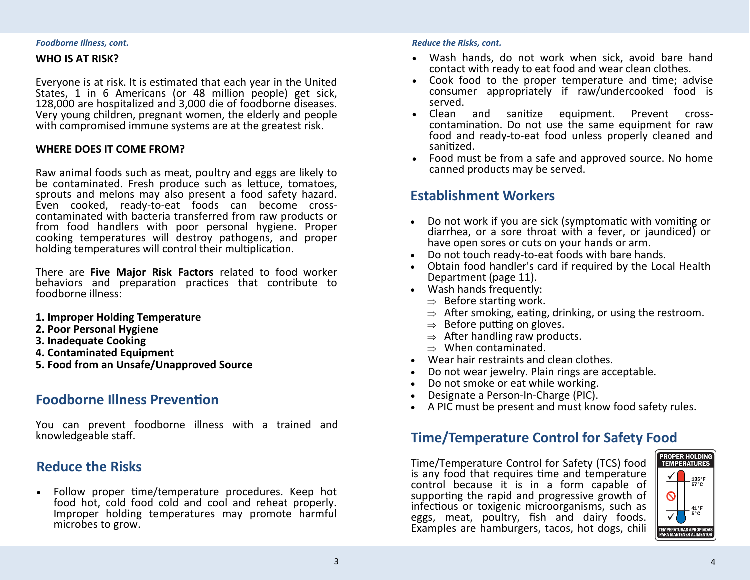### *Foodborne Illness, cont.*

### **WHO IS AT RISK?**

Everyone is at risk. It is estimated that each year in the United States, 1 in 6 Americans (or 48 million people) get sick, 128,000 are hospitalized and 3,000 die of foodborne diseases. Very young children, pregnant women, the elderly and people with compromised immune systems are at the greatest risk.

### **WHERE DOES IT COME FROM?**

Raw animal foods such as meat, poultry and eggs are likely to be contaminated. Fresh produce such as lettuce, tomatoes, sprouts and melons may also present a food safety hazard. Even cooked, ready-to-eat foods can become crosscontaminated with bacteria transferred from raw products or from food handlers with poor personal hygiene. Proper cooking temperatures will destroy pathogens, and proper holding temperatures will control their multiplication.

There are **Five Major Risk Factors** related to food worker behaviors and preparation practices that contribute to foodborne illness:

- **1. Improper Holding Temperature**
- **2. Poor Personal Hygiene**
- **3. Inadequate Cooking**
- **4. Contaminated Equipment**
- **5. Food from an Unsafe/Unapproved Source**

### **Foodborne Illness Prevention**

You can prevent foodborne illness with a trained and knowledgeable staff.

### **Reduce the Risks**

 Follow proper time/temperature procedures. Keep hot food hot, cold food cold and cool and reheat properly. Improper holding temperatures may promote harmful microbes to grow.

### *Reduce the Risks, cont.*

- Wash hands, do not work when sick, avoid bare hand contact with ready to eat food and wear clean clothes.
- Cook food to the proper temperature and time; advise consumer appropriately if raw/undercooked food is served.
- Clean and sanitize equipment. Prevent crosscontamination. Do not use the same equipment for raw food and ready-to-eat food unless properly cleaned and sanitized.
- Food must be from a safe and approved source. No home canned products may be served.

### **Establishment Workers**

- Do not work if you are sick (symptomatic with vomiting or diarrhea, or a sore throat with a fever, or jaundiced) or have open sores or cuts on your hands or arm.
- Do not touch ready-to-eat foods with bare hands.
- Obtain food handler's card if required by the Local Health Department (page 11).
- Wash hands frequently:
	- $\Rightarrow$  Before starting work.
	- $\Rightarrow$  After smoking, eating, drinking, or using the restroom.
	- $\Rightarrow$  Before putting on gloves.
	- $\Rightarrow$  After handling raw products.
	- $\Rightarrow$  When contaminated.
- Wear hair restraints and clean clothes.
- Do not wear jewelry. Plain rings are acceptable.
- Do not smoke or eat while working.
- Designate a Person-In-Charge (PIC).
- A PIC must be present and must know food safety rules.

### **Time/Temperature Control for Safety Food**

Time/Temperature Control for Safety (TCS) food is any food that requires time and temperature control because it is in a form capable of supporting the rapid and progressive growth of infectious or toxigenic microorganisms, such as eggs, meat, poultry, fish and dairy foods. Examples are hamburgers, tacos, hot dogs, chili

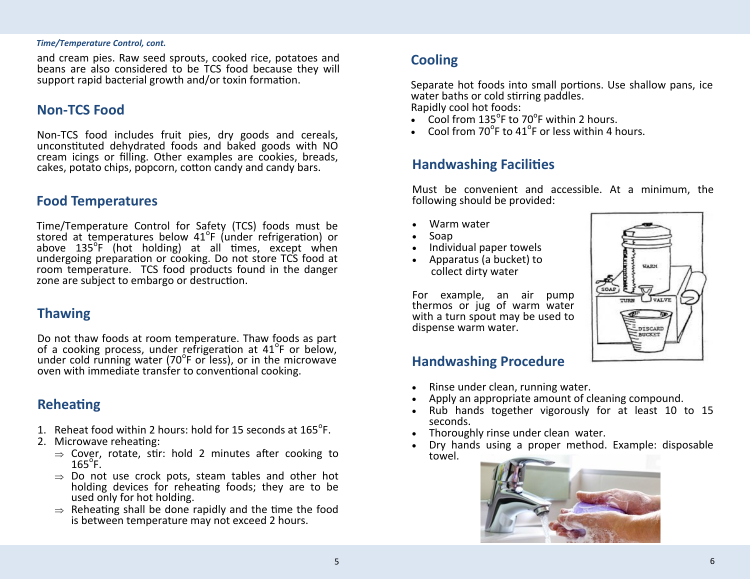### *Time/Temperature Control, cont.*

and cream pies. Raw seed sprouts, cooked rice, potatoes and beans are also considered to be TCS food because they will support rapid bacterial growth and/or toxin formation.

### **Non-TCS Food**

Non-TCS food includes fruit pies, dry goods and cereals, unconstituted dehydrated foods and baked goods with NO cream icings or filling. Other examples are cookies, breads, cakes, potato chips, popcorn, cotton candy and candy bars.

### **Food Temperatures**

Time/Temperature Control for Safety (TCS) foods must be stored at temperatures below 41<sup>o</sup>F (under refrigeration) or above 135<sup>o</sup>F (hot holding) at all times, except when undergoing preparation or cooking. Do not store TCS food at room temperature. TCS food products found in the danger zone are subject to embargo or destruction.

### **Thawing**

Do not thaw foods at room temperature. Thaw foods as part be not then room to the component of them to be as pute. under cold running water (70<sup>o</sup> F or less), or in the microwave oven with immediate transfer to conventional cooking.

### **Reheating**

- 1. Reheat food within 2 hours: hold for 15 seconds at  $165^{\circ}$ F.
- 2. Microwave reheating:
	- $\Rightarrow$  Cover, rotate, stir: hold 2 minutes after cooking to  $165^\circ$ F.
	- $\Rightarrow$  Do not use crock pots, steam tables and other hot holding devices for reheating foods; they are to be used only for hot holding.
	- $\Rightarrow$  Reheating shall be done rapidly and the time the food is between temperature may not exceed 2 hours.

## **Cooling**

Separate hot foods into small portions. Use shallow pans, ice water baths or cold stirring paddles. Rapidly cool hot foods:

- $\bullet$  Cool from 135<sup>o</sup>F to 70<sup>o</sup>F within 2 hours.
- Cool from  $70^{\circ}$ F to  $41^{\circ}$ F or less within 4 hours.

### **Handwashing Facilities**

Must be convenient and accessible. At a minimum, the following should be provided:

- Warm water
- Soap
- Individual paper towels
- Apparatus (a bucket) to collect dirty water

For example, an air pump thermos or jug of warm water with a turn spout may be used to dispense warm water.

# **UARM** SOAT **VALVE** DISCARI **BUCKET**

### **Handwashing Procedure**

- Rinse under clean, running water.
- Apply an appropriate amount of cleaning compound.
- Rub hands together vigorously for at least 10 to 15 seconds.
- Thoroughly rinse under clean water.
- Dry hands using a proper method. Example: disposable towel.

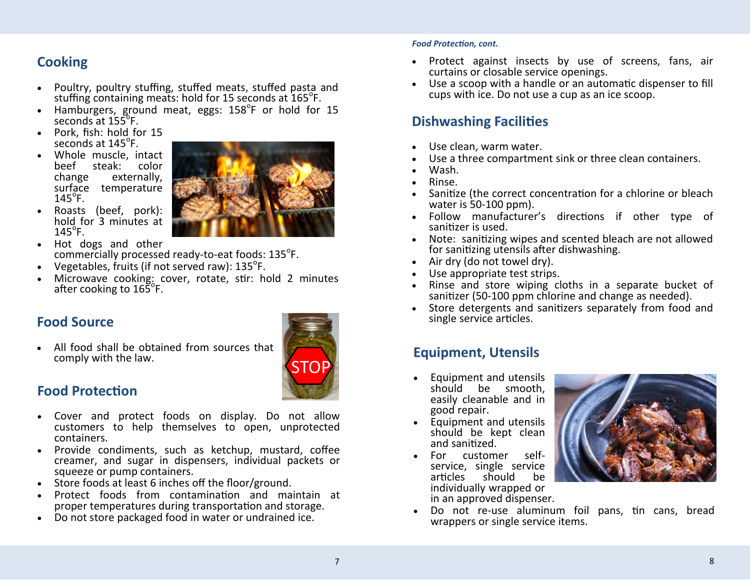# **Cooking**

- Poultry, poultry stuffing, stuffed meats, stuffed pasta and stuffing containing meats: hold for 15 seconds at 165<sup>o</sup>F.
- Hamburgers, ground meat, eggs:  $158^{\circ}$ F or hold for 15  $\frac{3}{5}$  seconds at  $155^{\circ}$ F.
- Pork, fish: hold for 15 seconds at  $145^{\circ}$ F.
- Whole muscle, intact<br>beef steak: color beef steak:<br>change exte externally, surface temperature  $145^{\circ}$ F.



- Roasts (beef, pork): hold for 3 minutes at  $145^{\circ}$ F.
- Hot dogs and other commercially processed ready-to-eat foods: 135<sup>°</sup>F.
- Vegetables, fruits (if not served raw):  $135^{\circ}$ F.
- Microwave cooking: cover, rotate, stir: hold 2 minutes after cooking to 165<sup>°</sup>F.

 All food shall be obtained from sources that comply with the law.



## **Food Protection**

- Cover and protect foods on display. Do not allow customers to help themselves to open, unprotected containers.
- Provide condiments, such as ketchup, mustard, coffee creamer, and sugar in dispensers, individual packets or squeeze or pump containers.
- Store foods at least 6 inches off the floor/ground.
- Protect foods from contamination and maintain at proper temperatures during transportation and storage.
- Do not store packaged food in water or undrained ice.

### *Food Protection, cont.*

- Protect against insects by use of screens, fans, air curtains or closable service openings.
- Use a scoop with a handle or an automatic dispenser to fill cups with ice. Do not use a cup as an ice scoop.

# **Dishwashing Facilities**

- Use clean, warm water.
- Use a three compartment sink or three clean containers.
- Wash.
- Rinse.
- Sanitize (the correct concentration for a chlorine or bleach water is 50-100 ppm).
- Follow manufacturer's directions if other type of sanitizer is used.
- Note: sanitizing wipes and scented bleach are not allowed for sanitizing utensils after dishwashing.
- Air dry (do not towel dry).
- Use appropriate test strips.
- Rinse and store wiping cloths in a separate bucket of sanitizer (50-100 ppm chlorine and change as needed).
- Store detergents and sanitizers separately from food and single service articles. **Food Source**

# **Equipment, Utensils**

- Equipment and utensils should be smooth, easily cleanable and in good repair.
- Equipment and utensils should be kept clean and sanitized.
- For customer selfservice, single service<br>articles should be articles should be individually wrapped or in an approved dispenser.



 Do not re-use aluminum foil pans, tin cans, bread wrappers or single service items.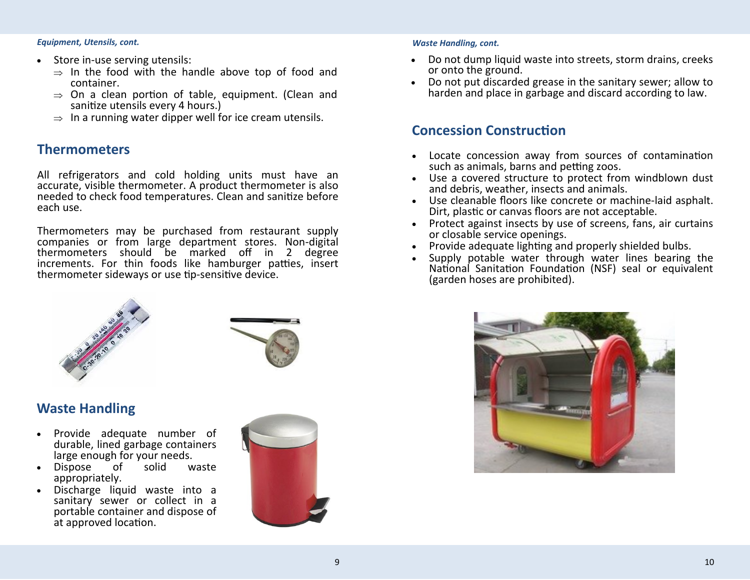*Equipment, Utensils, cont. Waste Handling, cont.*

- Store in-use serving utensils:
	- $\Rightarrow$  In the food with the handle above top of food and container.
	- $\Rightarrow$  On a clean portion of table, equipment. (Clean and sanitize utensils every 4 hours.)
	- $\Rightarrow$  In a running water dipper well for ice cream utensils.

### **Thermometers**

All refrigerators and cold holding units must have an accurate, visible thermometer. A product thermometer is also needed to check food temperatures. Clean and sanitize before each use.

Thermometers may be purchased from restaurant supply companies or from large department stores. Non-digital thermometers should be marked off in 2 degree increments. For thin foods like hamburger patties, insert thermometer sideways or use tip-sensitive device.



# **Waste Handling**

- Provide adequate number of durable, lined garbage containers large enough for your needs.
- Dispose of solid waste appropriately.
- Discharge liquid waste into a sanitary sewer or collect in a portable container and dispose of at approved location.



- Do not dump liquid waste into streets, storm drains, creeks or onto the ground.
- Do not put discarded grease in the sanitary sewer; allow to harden and place in garbage and discard according to law.

### **Concession Construction**

- Locate concession away from sources of contamination such as animals, barns and petting zoos.
- Use a covered structure to protect from windblown dust and debris, weather, insects and animals.
- Use cleanable floors like concrete or machine-laid asphalt. Dirt, plastic or canvas floors are not acceptable.
- Protect against insects by use of screens, fans, air curtains or closable service openings.
- Provide adequate lighting and properly shielded bulbs.
- Supply potable water through water lines bearing the National Sanitation Foundation (NSF) seal or equivalent (garden hoses are prohibited).